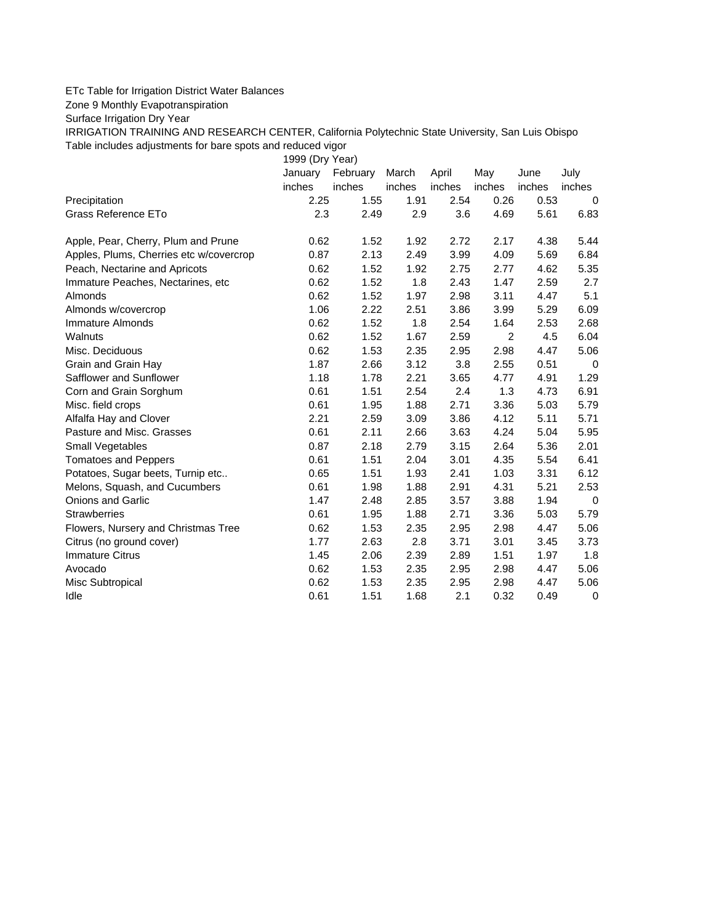## ETc Table for Irrigation District Water Balances

Zone 9 Monthly Evapotranspiration

Surface Irrigation Dry Year

IRRIGATION TRAINING AND RESEARCH CENTER, California Polytechnic State University, San Luis Obispo Table includes adjustments for bare spots and reduced vigor

1999 (Dry Year)

|                                         | January | February | March  | April  | May    | June   | July        |
|-----------------------------------------|---------|----------|--------|--------|--------|--------|-------------|
|                                         | inches  | inches   | inches | inches | inches | inches | inches      |
| Precipitation                           | 2.25    | 1.55     | 1.91   | 2.54   | 0.26   | 0.53   | 0           |
| Grass Reference ETo                     | 2.3     | 2.49     | 2.9    | 3.6    | 4.69   | 5.61   | 6.83        |
| Apple, Pear, Cherry, Plum and Prune     | 0.62    | 1.52     | 1.92   | 2.72   | 2.17   | 4.38   | 5.44        |
| Apples, Plums, Cherries etc w/covercrop | 0.87    | 2.13     | 2.49   | 3.99   | 4.09   | 5.69   | 6.84        |
| Peach, Nectarine and Apricots           | 0.62    | 1.52     | 1.92   | 2.75   | 2.77   | 4.62   | 5.35        |
| Immature Peaches, Nectarines, etc.      | 0.62    | 1.52     | 1.8    | 2.43   | 1.47   | 2.59   | 2.7         |
| Almonds                                 | 0.62    | 1.52     | 1.97   | 2.98   | 3.11   | 4.47   | 5.1         |
| Almonds w/covercrop                     | 1.06    | 2.22     | 2.51   | 3.86   | 3.99   | 5.29   | 6.09        |
| Immature Almonds                        | 0.62    | 1.52     | 1.8    | 2.54   | 1.64   | 2.53   | 2.68        |
| Walnuts                                 | 0.62    | 1.52     | 1.67   | 2.59   | 2      | 4.5    | 6.04        |
| Misc. Deciduous                         | 0.62    | 1.53     | 2.35   | 2.95   | 2.98   | 4.47   | 5.06        |
| Grain and Grain Hay                     | 1.87    | 2.66     | 3.12   | 3.8    | 2.55   | 0.51   | $\mathbf 0$ |
| Safflower and Sunflower                 | 1.18    | 1.78     | 2.21   | 3.65   | 4.77   | 4.91   | 1.29        |
| Corn and Grain Sorghum                  | 0.61    | 1.51     | 2.54   | 2.4    | 1.3    | 4.73   | 6.91        |
| Misc. field crops                       | 0.61    | 1.95     | 1.88   | 2.71   | 3.36   | 5.03   | 5.79        |
| Alfalfa Hay and Clover                  | 2.21    | 2.59     | 3.09   | 3.86   | 4.12   | 5.11   | 5.71        |
| Pasture and Misc. Grasses               | 0.61    | 2.11     | 2.66   | 3.63   | 4.24   | 5.04   | 5.95        |
| Small Vegetables                        | 0.87    | 2.18     | 2.79   | 3.15   | 2.64   | 5.36   | 2.01        |
| <b>Tomatoes and Peppers</b>             | 0.61    | 1.51     | 2.04   | 3.01   | 4.35   | 5.54   | 6.41        |
| Potatoes, Sugar beets, Turnip etc       | 0.65    | 1.51     | 1.93   | 2.41   | 1.03   | 3.31   | 6.12        |
| Melons, Squash, and Cucumbers           | 0.61    | 1.98     | 1.88   | 2.91   | 4.31   | 5.21   | 2.53        |
| Onions and Garlic                       | 1.47    | 2.48     | 2.85   | 3.57   | 3.88   | 1.94   | $\mathbf 0$ |
| <b>Strawberries</b>                     | 0.61    | 1.95     | 1.88   | 2.71   | 3.36   | 5.03   | 5.79        |
| Flowers, Nursery and Christmas Tree     | 0.62    | 1.53     | 2.35   | 2.95   | 2.98   | 4.47   | 5.06        |
| Citrus (no ground cover)                | 1.77    | 2.63     | 2.8    | 3.71   | 3.01   | 3.45   | 3.73        |
| <b>Immature Citrus</b>                  | 1.45    | 2.06     | 2.39   | 2.89   | 1.51   | 1.97   | 1.8         |
| Avocado                                 | 0.62    | 1.53     | 2.35   | 2.95   | 2.98   | 4.47   | 5.06        |
| Misc Subtropical                        | 0.62    | 1.53     | 2.35   | 2.95   | 2.98   | 4.47   | 5.06        |
| Idle                                    | 0.61    | 1.51     | 1.68   | 2.1    | 0.32   | 0.49   | 0           |